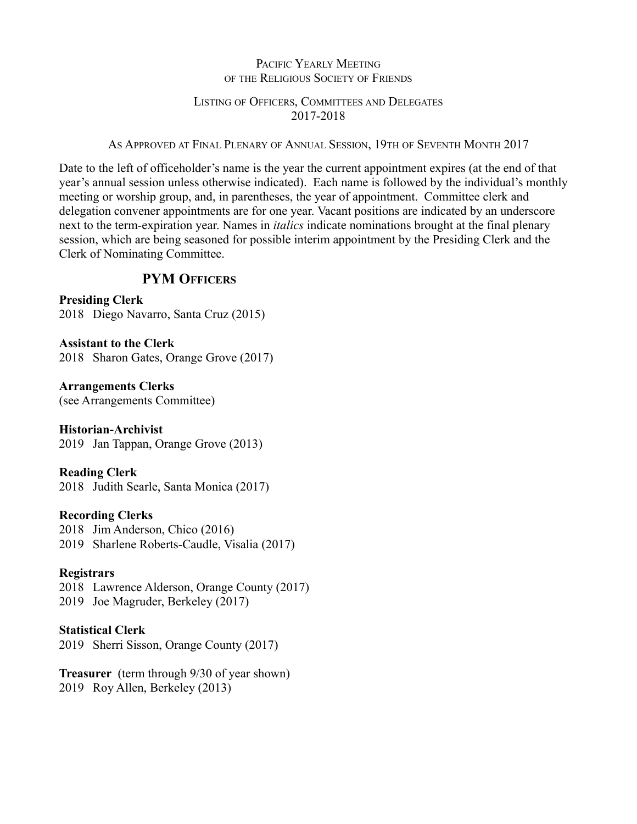# PACIFIC YEARLY MEETING OF THE RELIGIOUS SOCIETY OF FRIENDS

# LISTING OF OFFICERS, COMMITTEES AND DELEGATES 2017-2018

AS APPROVED AT FINAL PLENARY OF ANNUAL SESSION, 19TH OF SEVENTH MONTH 2017

Date to the left of officeholder's name is the year the current appointment expires (at the end of that year's annual session unless otherwise indicated). Each name is followed by the individual's monthly meeting or worship group, and, in parentheses, the year of appointment. Committee clerk and delegation convener appointments are for one year. Vacant positions are indicated by an underscore next to the term-expiration year. Names in *italics* indicate nominations brought at the final plenary session, which are being seasoned for possible interim appointment by the Presiding Clerk and the Clerk of Nominating Committee.

# **PYM OFFICERS**

**Presiding Clerk** 2018 Diego Navarro, Santa Cruz (2015)

**Assistant to the Clerk** 2018 Sharon Gates, Orange Grove (2017)

**Arrangements Clerks** (see Arrangements Committee)

**Historian-Archivist** 2019 Jan Tappan, Orange Grove (2013)

**Reading Clerk** 2018 Judith Searle, Santa Monica (2017)

# **Recording Clerks**

2018 Jim Anderson, Chico (2016) 2019 Sharlene Roberts-Caudle, Visalia (2017)

# **Registrars**

2018 Lawrence Alderson, Orange County (2017) 2019 Joe Magruder, Berkeley (2017)

# **Statistical Clerk**

2019 Sherri Sisson, Orange County (2017)

**Treasurer** (term through 9/30 of year shown) 2019 Roy Allen, Berkeley (2013)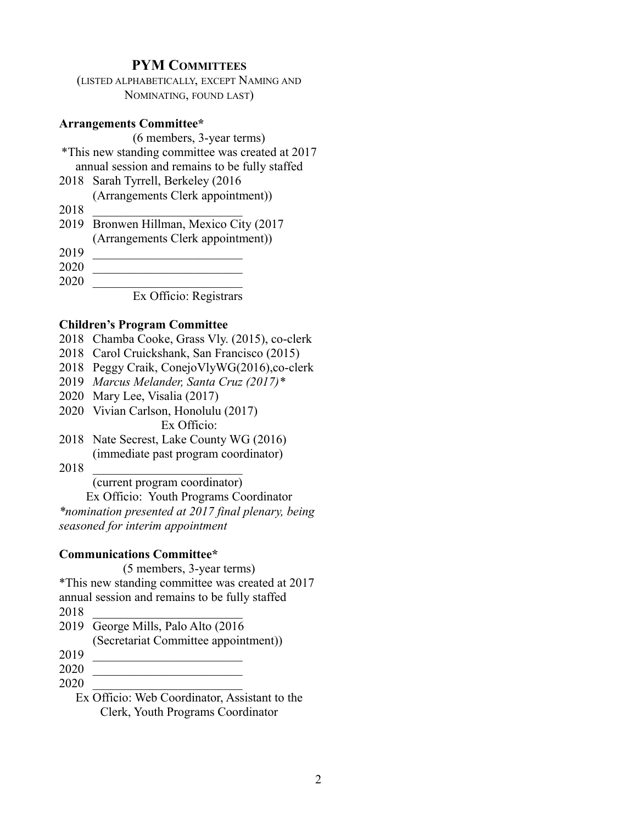# **PYM COMMITTEES**

(LISTED ALPHABETICALLY, EXCEPT NAMING AND NOMINATING, FOUND LAST)

#### **Arrangements Committee\***

(6 members, 3-year terms) \*This new standing committee was created at 2017 annual session and remains to be fully staffed

- 2018 Sarah Tyrrell, Berkeley (2016 (Arrangements Clerk appointment))
- 2018 \_\_\_\_\_\_\_\_\_\_\_\_\_\_\_\_\_\_\_\_\_\_\_\_
- 2019 Bronwen Hillman, Mexico City (2017
- (Arrangements Clerk appointment))
- 2019 \_\_\_\_\_\_\_\_\_\_\_\_\_\_\_\_\_\_\_\_\_\_\_\_
- 2020 \_\_\_\_\_\_\_\_\_\_\_\_\_\_\_\_\_\_\_\_\_\_\_\_

2020 \_\_\_\_\_\_\_\_\_\_\_\_\_\_\_\_\_\_\_\_\_\_\_\_

Ex Officio: Registrars

### **Children's Program Committee**

- 2018 Chamba Cooke, Grass Vly. (2015), co-clerk
- 2018 Carol Cruickshank, San Francisco (2015)
- 2018 Peggy Craik, ConejoVlyWG(2016),co-clerk
- 2019 *Marcus Melander, Santa Cruz (2017)\**
- 2020 Mary Lee, Visalia (2017)
- 2020 Vivian Carlson, Honolulu (2017) Ex Officio:
- 2018 Nate Secrest, Lake County WG (2016) (immediate past program coordinator)
- 2018 \_\_\_\_\_\_\_\_\_\_\_\_\_\_\_\_\_\_\_\_\_\_\_\_

(current program coordinator)

Ex Officio: Youth Programs Coordinator *\*nomination presented at 2017 final plenary, being seasoned for interim appointment*

## **Communications Committee\***

(5 members, 3-year terms) \*This new standing committee was created at 2017 annual session and remains to be fully staffed 2018 \_\_\_\_\_\_\_\_\_\_\_\_\_\_\_\_\_\_\_\_\_\_\_\_ 2019 George Mills, Palo Alto (2016 (Secretariat Committee appointment)) 2019 \_\_\_\_\_\_\_\_\_\_\_\_\_\_\_\_\_\_\_\_\_\_\_\_

- 2020 \_\_\_\_\_\_\_\_\_\_\_\_\_\_\_\_\_\_\_\_\_\_\_\_
- 2020 \_\_\_\_\_\_\_\_\_\_\_\_\_\_\_\_\_\_\_\_\_\_\_\_
	- Ex Officio: Web Coordinator, Assistant to the Clerk, Youth Programs Coordinator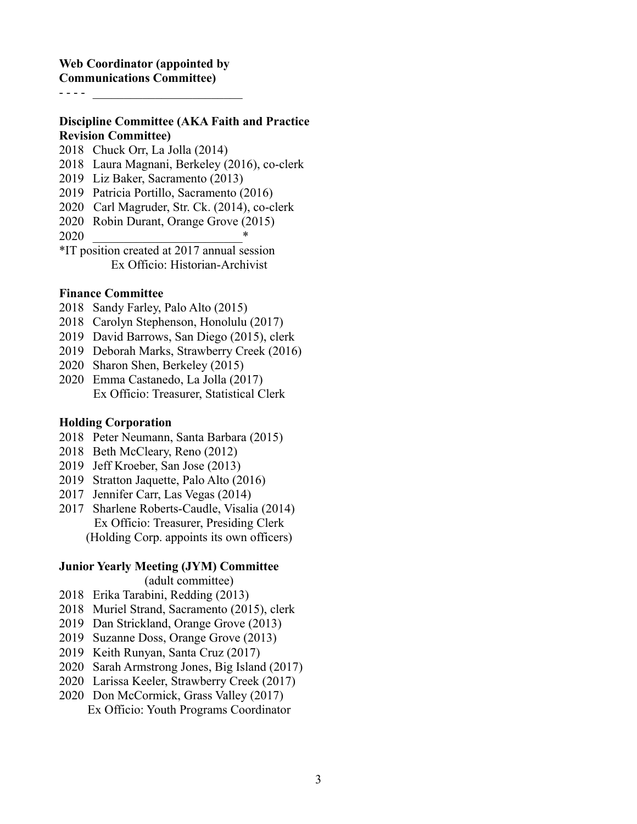# **Discipline Committee (AKA Faith and Practice Revision Committee)**

- Chuck Orr, La Jolla (2014)
- Laura Magnani, Berkeley (2016), co-clerk
- Liz Baker, Sacramento (2013)
- Patricia Portillo, Sacramento (2016)
- 2020 Carl Magruder, Str. Ck. (2014), co-clerk
- Robin Durant, Orange Grove (2015)
- \_\_\_\_\_\_\_\_\_\_\_\_\_\_\_\_\_\_\_\_\_\_\_\_\*

\*IT position created at 2017 annual session Ex Officio: Historian-Archivist

## **Finance Committee**

- Sandy Farley, Palo Alto (2015)
- Carolyn Stephenson, Honolulu (2017)
- David Barrows, San Diego (2015), clerk
- Deborah Marks, Strawberry Creek (2016)
- Sharon Shen, Berkeley (2015)
- Emma Castanedo, La Jolla (2017) Ex Officio: Treasurer, Statistical Clerk

## **Holding Corporation**

- Peter Neumann, Santa Barbara (2015)
- Beth McCleary, Reno (2012)
- Jeff Kroeber, San Jose (2013)
- Stratton Jaquette, Palo Alto (2016)
- 2017 Jennifer Carr, Las Vegas (2014)
- Sharlene Roberts-Caudle, Visalia (2014) Ex Officio: Treasurer, Presiding Clerk (Holding Corp. appoints its own officers)

## **Junior Yearly Meeting (JYM) Committee**

(adult committee)

- Erika Tarabini, Redding (2013)
- Muriel Strand, Sacramento (2015), clerk
- Dan Strickland, Orange Grove (2013)
- Suzanne Doss, Orange Grove (2013)
- Keith Runyan, Santa Cruz (2017)
- Sarah Armstrong Jones, Big Island (2017)
- Larissa Keeler, Strawberry Creek (2017)
- Don McCormick, Grass Valley (2017) Ex Officio: Youth Programs Coordinator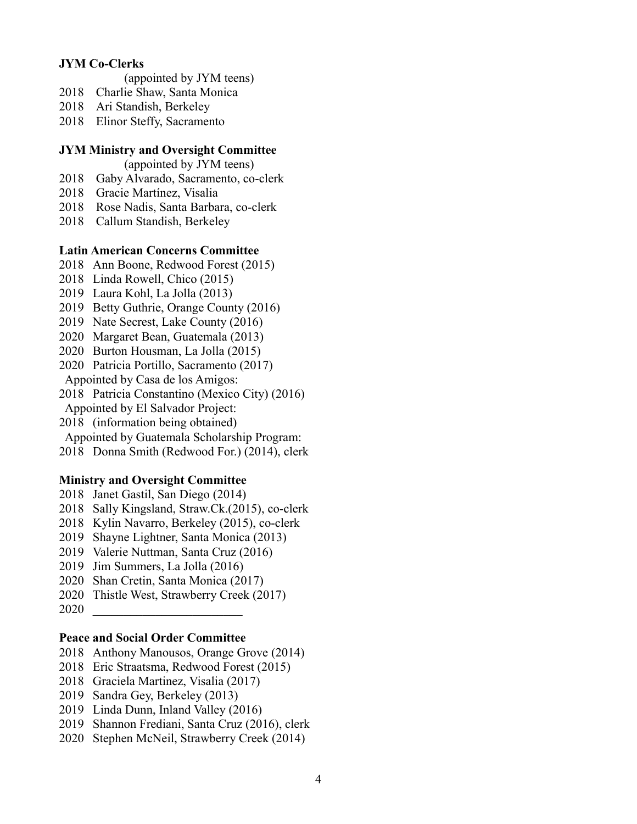# **JYM Co-Clerks**

- (appointed by JYM teens)
- Charlie Shaw, Santa Monica
- Ari Standish, Berkeley
- Elinor Steffy, Sacramento

#### **JYM Ministry and Oversight Committee**

(appointed by JYM teens)

- Gaby Alvarado, Sacramento, co-clerk
- Gracie Martínez, Visalia
- Rose Nadis, Santa Barbara, co-clerk
- Callum Standish, Berkeley

#### **Latin American Concerns Committee**

- Ann Boone, Redwood Forest (2015)
- Linda Rowell, Chico (2015)
- Laura Kohl, La Jolla (2013)
- Betty Guthrie, Orange County (2016)
- Nate Secrest, Lake County (2016)
- Margaret Bean, Guatemala (2013)
- Burton Housman, La Jolla (2015)
- Patricia Portillo, Sacramento (2017) Appointed by Casa de los Amigos:
- Patricia Constantino (Mexico City) (2016)
- Appointed by El Salvador Project:
- (information being obtained)

Appointed by Guatemala Scholarship Program:

Donna Smith (Redwood For.) (2014), clerk

# **Ministry and Oversight Committee**

- Janet Gastil, San Diego (2014)
- Sally Kingsland, Straw.Ck.(2015), co-clerk
- Kylin Navarro, Berkeley (2015), co-clerk
- Shayne Lightner, Santa Monica (2013)
- Valerie Nuttman, Santa Cruz (2016)
- Jim Summers, La Jolla (2016)
- Shan Cretin, Santa Monica (2017)
- 2020 Thistle West, Strawberry Creek (2017)
- \_\_\_\_\_\_\_\_\_\_\_\_\_\_\_\_\_\_\_\_\_\_\_\_

## **Peace and Social Order Committee**

- Anthony Manousos, Orange Grove (2014)
- Eric Straatsma, Redwood Forest (2015)
- Graciela Martinez, Visalia (2017)
- Sandra Gey, Berkeley (2013)
- Linda Dunn, Inland Valley (2016)
- Shannon Frediani, Santa Cruz (2016), clerk
- Stephen McNeil, Strawberry Creek (2014)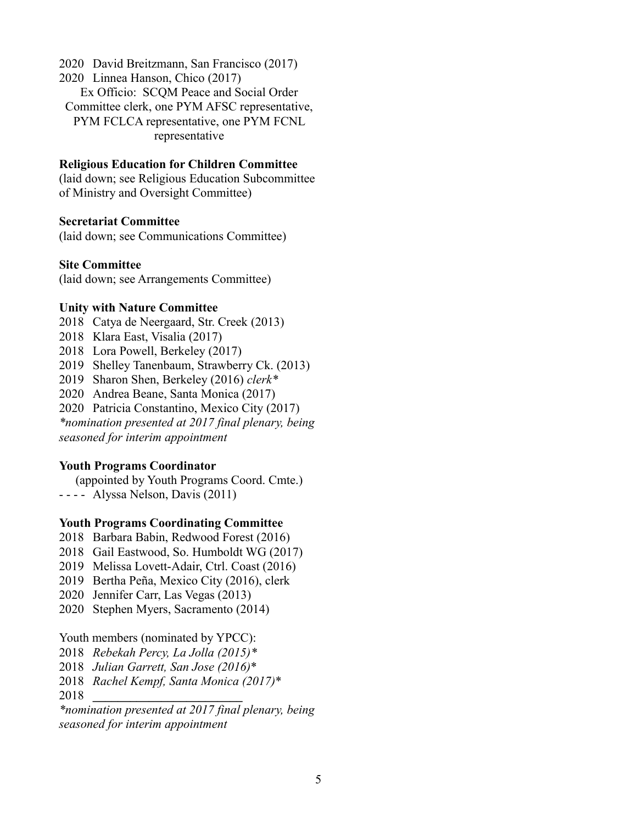2020 David Breitzmann, San Francisco (2017) 2020 Linnea Hanson, Chico (2017) Ex Officio: SCQM Peace and Social Order Committee clerk, one PYM AFSC representative, PYM FCLCA representative, one PYM FCNL representative

## **Religious Education for Children Committee**

(laid down; see Religious Education Subcommittee of Ministry and Oversight Committee)

## **Secretariat Committee**

(laid down; see Communications Committee)

#### **Site Committee**

(laid down; see Arrangements Committee)

#### **Unity with Nature Committee**

- 2018 Catya de Neergaard, Str. Creek (2013)
- 2018 Klara East, Visalia (2017)
- 2018 Lora Powell, Berkeley (2017)
- 2019 Shelley Tanenbaum, Strawberry Ck. (2013)
- 2019 Sharon Shen, Berkeley (2016) *clerk\**
- 2020 Andrea Beane, Santa Monica (2017)
- 2020 Patricia Constantino, Mexico City (2017)

*\*nomination presented at 2017 final plenary, being seasoned for interim appointment*

## **Youth Programs Coordinator**

(appointed by Youth Programs Coord. Cmte.)

- - - - Alyssa Nelson, Davis (2011)

## **Youth Programs Coordinating Committee**

- 2018 Barbara Babin, Redwood Forest (2016)
- 2018 Gail Eastwood, So. Humboldt WG (2017)
- 2019 Melissa Lovett-Adair, Ctrl. Coast (2016)
- 2019 Bertha Peña, Mexico City (2016), clerk
- 2020 Jennifer Carr, Las Vegas (2013)
- 2020 Stephen Myers, Sacramento (2014)

Youth members (nominated by YPCC):

- 2018 *Rebekah Percy, La Jolla (2015)\**
- 2018 *Julian Garrett, San Jose (2016)*\*
- 2018 *Rachel Kempf, Santa Monica (2017)*\*

2018 **\_\_\_\_\_\_\_\_\_\_\_\_\_\_\_\_\_\_\_\_\_\_\_\_**

*\*nomination presented at 2017 final plenary, being seasoned for interim appointment*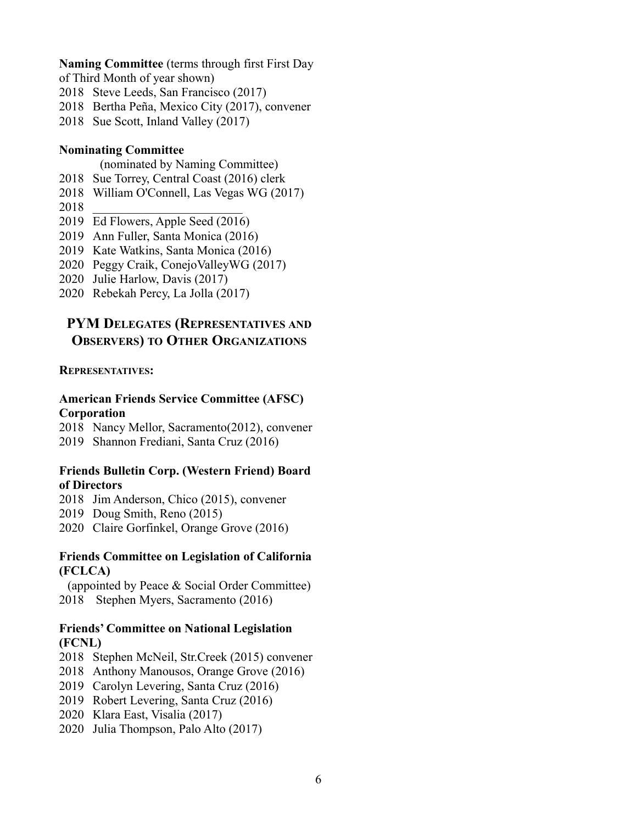#### **Naming Committee** (terms through first First Day

- of Third Month of year shown)
- 2018 Steve Leeds, San Francisco (2017)
- 2018 Bertha Peña, Mexico City (2017), convener
- 2018 Sue Scott, Inland Valley (2017)

# **Nominating Committee**

- (nominated by Naming Committee)
- 2018 Sue Torrey, Central Coast (2016) clerk
- 2018 William O'Connell, Las Vegas WG (2017)
- 2018 \_\_\_\_\_\_\_\_\_\_\_\_\_\_\_\_\_\_\_\_\_\_\_\_
- 2019 Ed Flowers, Apple Seed  $(2016)$
- 2019 Ann Fuller, Santa Monica (2016)
- 2019 Kate Watkins, Santa Monica (2016)
- 2020 Peggy Craik, ConejoValleyWG (2017)
- 2020 Julie Harlow, Davis (2017)
- 2020 Rebekah Percy, La Jolla (2017)

# **PYM DELEGATES (REPRESENTATIVES AND OBSERVERS) TO OTHER ORGANIZATIONS**

## **REPRESENTATIVES:**

# **American Friends Service Committee (AFSC) Corporation**

2018 Nancy Mellor, Sacramento(2012), convener 2019 Shannon Frediani, Santa Cruz (2016)

## **Friends Bulletin Corp. (Western Friend) Board of Directors**

2018 Jim Anderson, Chico (2015), convener

2019 Doug Smith, Reno (2015)

2020 Claire Gorfinkel, Orange Grove (2016)

#### **Friends Committee on Legislation of California (FCLCA)**

(appointed by Peace & Social Order Committee) 2018 Stephen Myers, Sacramento (2016)

# **Friends' Committee on National Legislation (FCNL)**

- 2018 Stephen McNeil, Str.Creek (2015) convener
- 2018 Anthony Manousos, Orange Grove (2016)
- 2019 Carolyn Levering, Santa Cruz (2016)
- 2019 Robert Levering, Santa Cruz (2016)
- 2020 Klara East, Visalia (2017)
- 2020 Julia Thompson, Palo Alto (2017)